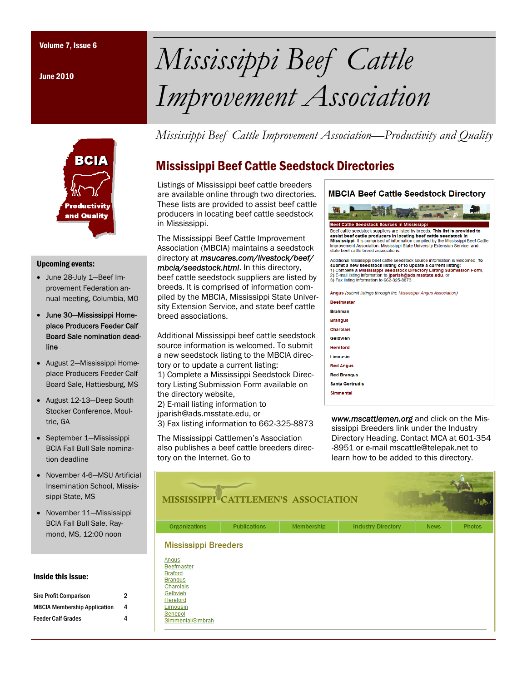June 2010



#### Upcoming events:

- June 28-July 1—Beef Improvement Federation annual meeting, Columbia, MO
- June 30—Mississippi Homeplace Producers Feeder Calf Board Sale nomination deadline
- August 2—Mississippi Homeplace Producers Feeder Calf Board Sale, Hattiesburg, MS
- August 12-13—Deep South Stocker Conference, Moultrie, GA
- September 1—Mississippi BCIA Fall Bull Sale nomination deadline
- November 4-6—MSU Artificial Insemination School, Mississippi State, MS
- November 11—Mississippi BCIA Fall Bull Sale, Raymond, MS, 12:00 noon

#### Inside this issue:

| <b>Sire Profit Comparison</b>       | 2 |
|-------------------------------------|---|
| <b>MBCIA Membership Application</b> | 4 |
| <b>Feeder Calf Grades</b>           | 4 |

# Volume 7, Issue 6 *Mississippi Beef Cattle Improvement Association*

*Mississippi Beef Cattle Improvement Association—Productivity and Quality* 

# Mississippi Beef Cattle Seedstock Directories

Listings of Mississippi beef cattle breeders are available online through two directories. These lists are provided to assist beef cattle producers in locating beef cattle seedstock in Mississippi.

The Mississippi Beef Cattle Improvement Association (MBCIA) maintains a seedstock directory at *msucares.com/livestock/beef/ mbcia/seedstock.html*. In this directory, beef cattle seedstock suppliers are listed by breeds. It is comprised of information compiled by the MBCIA, Mississippi State University Extension Service, and state beef cattle breed associations.

Additional Mississippi beef cattle seedstock source information is welcomed. To submit a new seedstock listing to the MBCIA directory or to update a current listing: 1) Complete a Mississippi Seedstock Directory Listing Submission Form available on the directory website, 2) E-mail listing information to

jparish@ads.msstate.edu, or 3) Fax listing information to 662-325-8873

The Mississippi Cattlemen's Association also publishes a beef cattle breeders directory on the Internet. Go to



w*ww.mscattlemen.org* and click on the Mississippi Breeders link under the Industry Directory Heading. Contact MCA at 601-354 -8951 or e-mail mscattle@telepak.net to learn how to be added to this directory.

|                                                                                                                                                                                | MISSISSIPPI CATTLEMEN'S ASSOCIATION |            |                           |             |               |
|--------------------------------------------------------------------------------------------------------------------------------------------------------------------------------|-------------------------------------|------------|---------------------------|-------------|---------------|
| <b>Organizations</b>                                                                                                                                                           | <b>Publications</b>                 | Membership | <b>Industry Directory</b> | <b>News</b> | <b>Photos</b> |
| <b>Mississippi Breeders</b><br>Angus<br><b>Beefmaster</b><br><b>Braford</b><br><b>Branqus</b><br>Charolais<br>Gelbvieh<br>Hereford<br>Limousin<br>Senepol<br>Simmental/Simbrah |                                     |            |                           |             |               |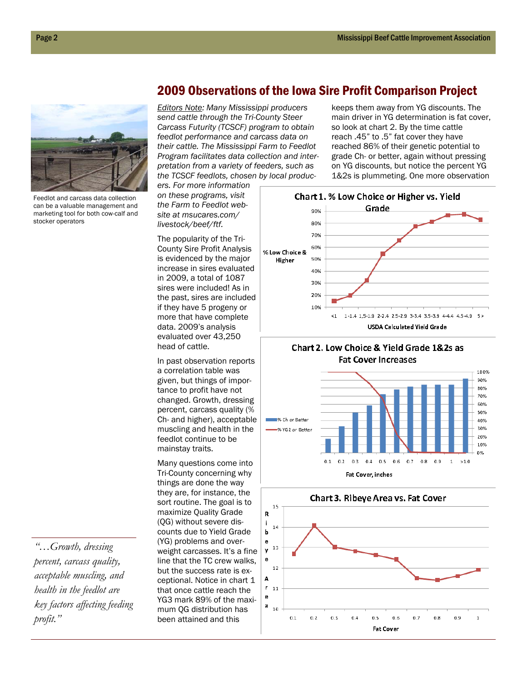

Feedlot and carcass data collection can be a valuable management and marketing tool for both cow-calf and stocker operators

*"…Growth, dressing percent, carcass quality, acceptable muscling, and health in the feedlot are key factors affecting feeding profit."* 

## 2009 Observations of the Iowa Sire Profit Comparison Project

*Editors Note: Many Mississippi producers send cattle through the Tri-County Steer Carcass Futurity (TCSCF) program to obtain feedlot performance and carcass data on their cattle. The Mississippi Farm to Feedlot Program facilitates data collection and interpretation from a variety of feeders, such as the TCSCF feedlots, chosen by local produc-*

*ers. For more information on these programs, visit the Farm to Feedlot website at msucares.com/ livestock/beef/ftf.* 

The popularity of the Tri-County Sire Profit Analysis is evidenced by the major increase in sires evaluated in 2009, a total of 1087 sires were included! As in the past, sires are included if they have 5 progeny or more that have complete data. 2009's analysis evaluated over 43,250 head of cattle.

In past observation reports a correlation table was given, but things of importance to profit have not changed. Growth, dressing percent, carcass quality (% Ch- and higher), acceptable muscling and health in the feedlot continue to be mainstay traits.

Many questions come into Tri-County concerning why things are done the way they are, for instance, the sort routine. The goal is to maximize Quality Grade (QG) without severe discounts due to Yield Grade (YG) problems and overweight carcasses. It's a fine line that the TC crew walks, but the success rate is exceptional. Notice in chart 1 that once cattle reach the YG3 mark 89% of the maximum QG distribution has been attained and this

keeps them away from YG discounts. The main driver in YG determination is fat cover, so look at chart 2. By the time cattle reach .45" to .5" fat cover they have reached 86% of their genetic potential to grade Ch- or better, again without pressing on YG discounts, but notice the percent YG 1&2s is plummeting. One more observation



Chart 2. Low Choice & Yield Grade 1&2s as **Fat Cover Increases** 



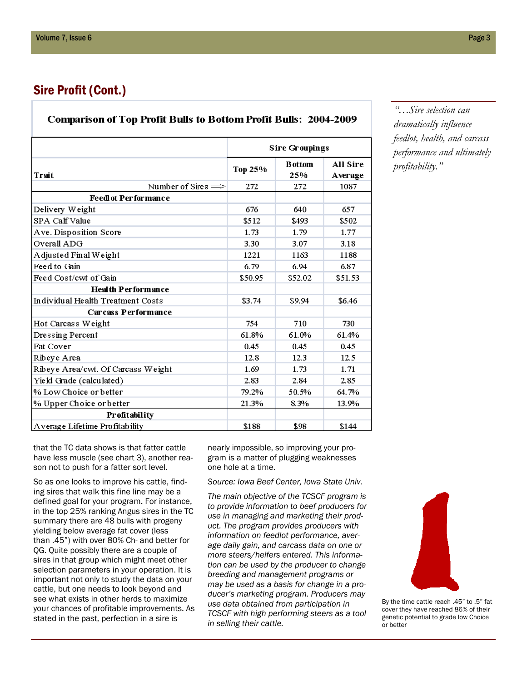## Sire Profit (Cont.)

### **Comparison of Top Profit Bulls to Bottom Profit Bulls: 2004-2009**

|                                    | <b>Sire Groupings</b> |                       |                     |
|------------------------------------|-----------------------|-----------------------|---------------------|
| Trait                              | Тор 25%               | <b>B</b> ottom<br>25% | All Sire<br>Average |
| Number of Sires $\Longrightarrow$  | 272                   | 272                   | 1087                |
| <b>Feedlot Performance</b>         |                       |                       |                     |
| Delivery Weight                    | 676                   | 640                   | 657                 |
| SPA Calf Value                     | \$512                 | \$493                 | \$502               |
| Ave. Disposition Score             | 1.73                  | 1.79                  | 1.77                |
| Overall ADG                        | 3.30                  | 3.07                  | 3.18                |
| A djusted Final Weight             | 1221                  | 1163                  | 1188                |
| Feed to Gain                       | 6.79                  | 6.94                  | 6.87                |
| Feed Cost/cwt of Gain              | \$50.95               | \$52.02               | \$51.53             |
| <b>Health Performance</b>          |                       |                       |                     |
| Individual Health Treatment Costs  | \$3.74                | \$9.94                | \$6.46              |
| <b>Carcass Performance</b>         |                       |                       |                     |
| Hot Carcass Weight                 | 754                   | 710                   | 730                 |
| Dressing Percent                   | 61.8%                 | 61.0%                 | 61.4%               |
| Fat Cover                          | 0.45                  | 0.45                  | 0.45                |
| Ribeye Area                        | 12.8                  | 12.3                  | 12.5                |
| Ribeye Area/cwt. Of Carcass Weight | 1.69                  | 1.73                  | 1.71                |
| Yield Grade (calculated)           | 2.83                  | 2.84                  | 2.85                |
| % Low Choice or better             | 79.2%                 | 50.5%                 | 64.7%               |
| % Upper Choice or better           | 21.3%                 | 8.3%                  | 13.9%               |
| Profitability                      |                       |                       |                     |
| Average Lifetime Profitability     | \$188                 | \$98                  | \$144               |

*"…Sire selection can dramatically influence feedlot, health, and carcass performance and ultimately profitability."* 

that the TC data shows is that fatter cattle have less muscle (see chart 3), another reason not to push for a fatter sort level.

So as one looks to improve his cattle, finding sires that walk this fine line may be a defined goal for your program. For instance, in the top 25% ranking Angus sires in the TC summary there are 48 bulls with progeny yielding below average fat cover (less than .45") with over 80% Ch- and better for QG. Quite possibly there are a couple of sires in that group which might meet other selection parameters in your operation. It is important not only to study the data on your cattle, but one needs to look beyond and see what exists in other herds to maximize your chances of profitable improvements. As stated in the past, perfection in a sire is

nearly impossible, so improving your program is a matter of plugging weaknesses one hole at a time.

*Source: Iowa Beef Center, Iowa State Univ.* 

*The main objective of the TCSCF program is to provide information to beef producers for use in managing and marketing their product. The program provides producers with information on feedlot performance, average daily gain, and carcass data on one or more steers/heifers entered. This information can be used by the producer to change breeding and management programs or may be used as a basis for change in a producer's marketing program. Producers may use data obtained from participation in TCSCF with high performing steers as a tool in selling their cattle.* 

By the time cattle reach .45" to .5" fat cover they have reached 86% of their genetic potential to grade low Choice or better